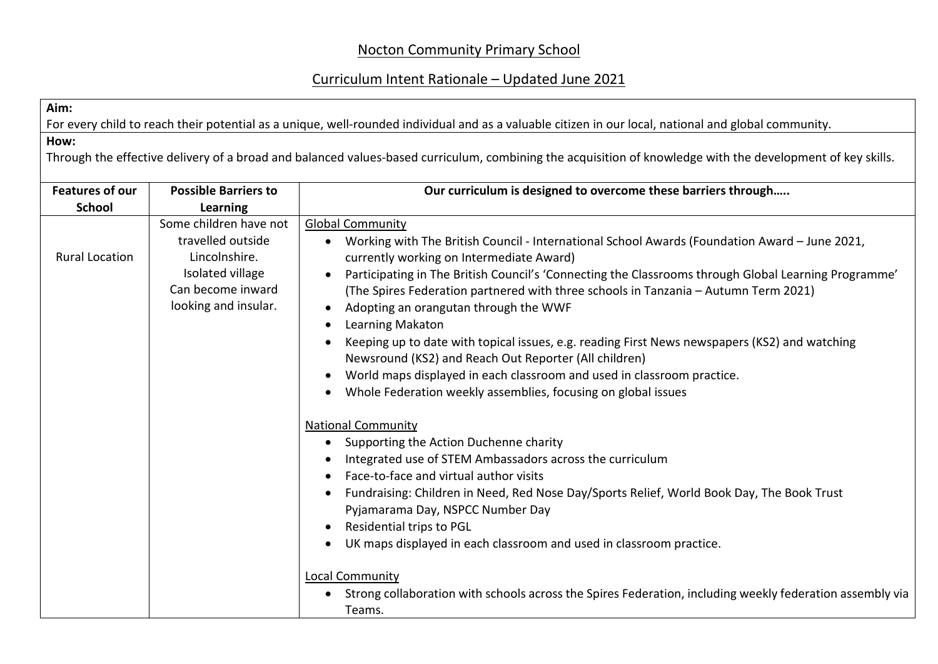## Nocton Community Primary School

## Curriculum Intent Rationale – Updated June 2021

**Aim:**

For every child to reach their potential as a unique, well-rounded individual and as a valuable citizen in our local, national and global community.

**How:**

Through the effective delivery of a broad and balanced values-based curriculum, combining the acquisition of knowledge with the development of key skills.

| <b>Features of our</b> | <b>Possible Barriers to</b>                                                                                                   | Our curriculum is designed to overcome these barriers through                                                                                                                                                                                                                                                                                                                                                                                                                                                                                                                                                                                                                                                                                      |
|------------------------|-------------------------------------------------------------------------------------------------------------------------------|----------------------------------------------------------------------------------------------------------------------------------------------------------------------------------------------------------------------------------------------------------------------------------------------------------------------------------------------------------------------------------------------------------------------------------------------------------------------------------------------------------------------------------------------------------------------------------------------------------------------------------------------------------------------------------------------------------------------------------------------------|
| <b>School</b>          | Learning                                                                                                                      |                                                                                                                                                                                                                                                                                                                                                                                                                                                                                                                                                                                                                                                                                                                                                    |
| <b>Rural Location</b>  | Some children have not<br>travelled outside<br>Lincolnshire.<br>Isolated village<br>Can become inward<br>looking and insular. | <b>Global Community</b><br>Working with The British Council - International School Awards (Foundation Award - June 2021,<br>$\bullet$<br>currently working on Intermediate Award)<br>Participating in The British Council's 'Connecting the Classrooms through Global Learning Programme'<br>(The Spires Federation partnered with three schools in Tanzania - Autumn Term 2021)<br>Adopting an orangutan through the WWF<br>Learning Makaton<br>Keeping up to date with topical issues, e.g. reading First News newspapers (KS2) and watching<br>Newsround (KS2) and Reach Out Reporter (All children)<br>World maps displayed in each classroom and used in classroom practice.<br>Whole Federation weekly assemblies, focusing on global issues |
|                        |                                                                                                                               | <b>National Community</b><br>Supporting the Action Duchenne charity<br>$\bullet$<br>Integrated use of STEM Ambassadors across the curriculum<br>Face-to-face and virtual author visits<br>Fundraising: Children in Need, Red Nose Day/Sports Relief, World Book Day, The Book Trust<br>Pyjamarama Day, NSPCC Number Day<br>Residential trips to PGL<br>UK maps displayed in each classroom and used in classroom practice.<br><b>Local Community</b><br>Strong collaboration with schools across the Spires Federation, including weekly federation assembly via<br>$\bullet$<br>Teams.                                                                                                                                                            |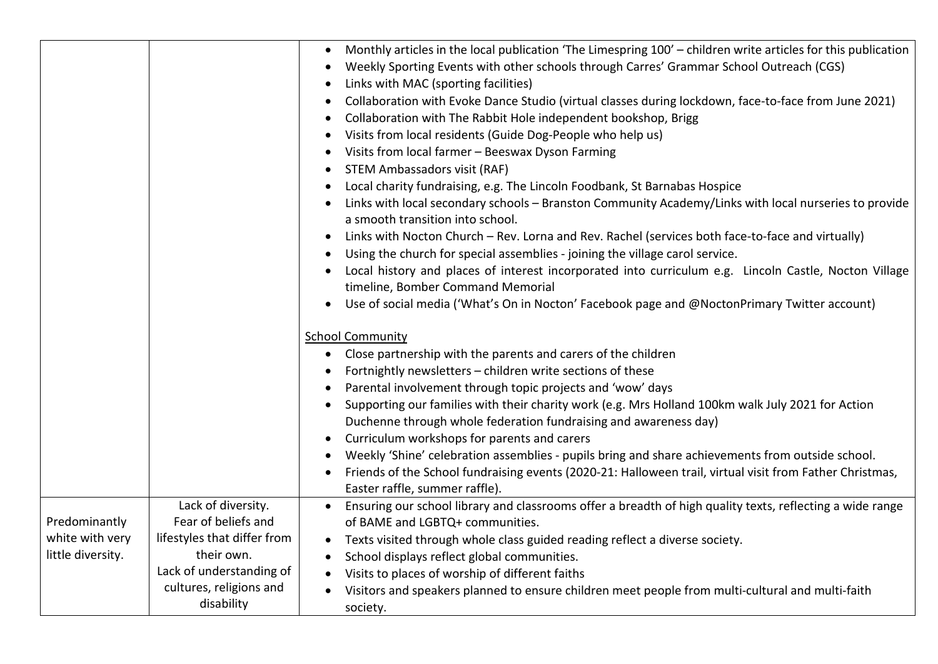|                                      |                                           | Monthly articles in the local publication 'The Limespring 100' - children write articles for this publication<br>$\bullet$<br>Weekly Sporting Events with other schools through Carres' Grammar School Outreach (CGS)<br>Links with MAC (sporting facilities)<br>Collaboration with Evoke Dance Studio (virtual classes during lockdown, face-to-face from June 2021)<br>Collaboration with The Rabbit Hole independent bookshop, Brigg<br>$\bullet$<br>Visits from local residents (Guide Dog-People who help us)<br>Visits from local farmer - Beeswax Dyson Farming<br><b>STEM Ambassadors visit (RAF)</b><br>Local charity fundraising, e.g. The Lincoln Foodbank, St Barnabas Hospice<br>Links with local secondary schools - Branston Community Academy/Links with local nurseries to provide<br>a smooth transition into school.<br>Links with Nocton Church - Rev. Lorna and Rev. Rachel (services both face-to-face and virtually)<br>Using the church for special assemblies - joining the village carol service.<br>Local history and places of interest incorporated into curriculum e.g. Lincoln Castle, Nocton Village<br>timeline, Bomber Command Memorial<br>Use of social media ('What's On in Nocton' Facebook page and @NoctonPrimary Twitter account)<br><b>School Community</b><br>Close partnership with the parents and carers of the children<br>$\bullet$<br>Fortnightly newsletters - children write sections of these<br>Parental involvement through topic projects and 'wow' days<br>Supporting our families with their charity work (e.g. Mrs Holland 100km walk July 2021 for Action<br>Duchenne through whole federation fundraising and awareness day)<br>Curriculum workshops for parents and carers<br>Weekly 'Shine' celebration assemblies - pupils bring and share achievements from outside school.<br>Friends of the School fundraising events (2020-21: Halloween trail, virtual visit from Father Christmas,<br>Easter raffle, summer raffle). |
|--------------------------------------|-------------------------------------------|------------------------------------------------------------------------------------------------------------------------------------------------------------------------------------------------------------------------------------------------------------------------------------------------------------------------------------------------------------------------------------------------------------------------------------------------------------------------------------------------------------------------------------------------------------------------------------------------------------------------------------------------------------------------------------------------------------------------------------------------------------------------------------------------------------------------------------------------------------------------------------------------------------------------------------------------------------------------------------------------------------------------------------------------------------------------------------------------------------------------------------------------------------------------------------------------------------------------------------------------------------------------------------------------------------------------------------------------------------------------------------------------------------------------------------------------------------------------------------------------------------------------------------------------------------------------------------------------------------------------------------------------------------------------------------------------------------------------------------------------------------------------------------------------------------------------------------------------------------------------------------------------------------------------------------------------------------------------------------------|
|                                      | Lack of diversity.                        | Ensuring our school library and classrooms offer a breadth of high quality texts, reflecting a wide range                                                                                                                                                                                                                                                                                                                                                                                                                                                                                                                                                                                                                                                                                                                                                                                                                                                                                                                                                                                                                                                                                                                                                                                                                                                                                                                                                                                                                                                                                                                                                                                                                                                                                                                                                                                                                                                                                |
| Predominantly                        | Fear of beliefs and                       | of BAME and LGBTQ+ communities.                                                                                                                                                                                                                                                                                                                                                                                                                                                                                                                                                                                                                                                                                                                                                                                                                                                                                                                                                                                                                                                                                                                                                                                                                                                                                                                                                                                                                                                                                                                                                                                                                                                                                                                                                                                                                                                                                                                                                          |
| white with very<br>little diversity. | lifestyles that differ from<br>their own. | Texts visited through whole class guided reading reflect a diverse society.<br>$\bullet$                                                                                                                                                                                                                                                                                                                                                                                                                                                                                                                                                                                                                                                                                                                                                                                                                                                                                                                                                                                                                                                                                                                                                                                                                                                                                                                                                                                                                                                                                                                                                                                                                                                                                                                                                                                                                                                                                                 |
|                                      | Lack of understanding of                  | School displays reflect global communities.                                                                                                                                                                                                                                                                                                                                                                                                                                                                                                                                                                                                                                                                                                                                                                                                                                                                                                                                                                                                                                                                                                                                                                                                                                                                                                                                                                                                                                                                                                                                                                                                                                                                                                                                                                                                                                                                                                                                              |
|                                      | cultures, religions and                   | Visits to places of worship of different faiths                                                                                                                                                                                                                                                                                                                                                                                                                                                                                                                                                                                                                                                                                                                                                                                                                                                                                                                                                                                                                                                                                                                                                                                                                                                                                                                                                                                                                                                                                                                                                                                                                                                                                                                                                                                                                                                                                                                                          |
|                                      | disability                                | Visitors and speakers planned to ensure children meet people from multi-cultural and multi-faith<br>society.                                                                                                                                                                                                                                                                                                                                                                                                                                                                                                                                                                                                                                                                                                                                                                                                                                                                                                                                                                                                                                                                                                                                                                                                                                                                                                                                                                                                                                                                                                                                                                                                                                                                                                                                                                                                                                                                             |